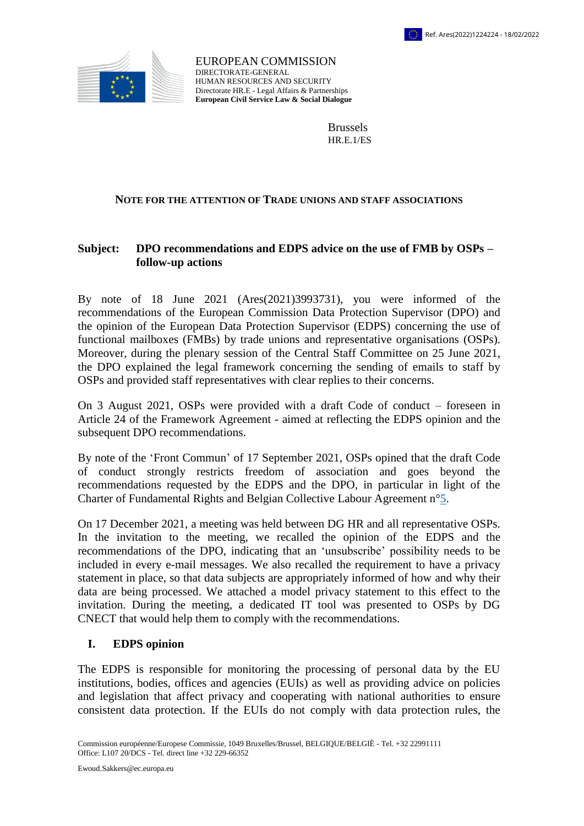



EUROPEAN COMMISSION DIRECTORATE-GENERAL HUMAN RESOURCES AND SECURITY Directorate HR.E - Legal Affairs & Partnerships **European Civil Service Law & Social Dialogue**

> Brussels HR.E.1/ES

#### **NOTE FOR THE ATTENTION OF TRADE UNIONS AND STAFF ASSOCIATIONS**

## **Subject: DPO recommendations and EDPS advice on the use of FMB by OSPs – follow-up actions**

By note of 18 June 2021 (Ares(2021)3993731), you were informed of the recommendations of the European Commission Data Protection Supervisor (DPO) and the opinion of the European Data Protection Supervisor (EDPS) concerning the use of functional mailboxes (FMBs) by trade unions and representative organisations (OSPs). Moreover, during the plenary session of the Central Staff Committee on 25 June 2021, the DPO explained the legal framework concerning the sending of emails to staff by OSPs and provided staff representatives with clear replies to their concerns.

On 3 August 2021, OSPs were provided with a draft Code of conduct – foreseen in Article 24 of the Framework Agreement - aimed at reflecting the EDPS opinion and the subsequent DPO recommendations.

By note of the 'Front Commun' of 17 September 2021, OSPs opined that the draft Code of conduct strongly restricts freedom of association and goes beyond the recommendations requested by the EDPS and the DPO, in particular in light of the Charter of Fundamental Rights and Belgian Collective Labour Agreement n[°5.](http://www.cnt-nar.be/CCT-COORD/cct-005.pdf)

On 17 December 2021, a meeting was held between DG HR and all representative OSPs. In the invitation to the meeting, we recalled the opinion of the EDPS and the recommendations of the DPO, indicating that an 'unsubscribe' possibility needs to be included in every e-mail messages. We also recalled the requirement to have a privacy statement in place, so that data subjects are appropriately informed of how and why their data are being processed. We attached a model privacy statement to this effect to the invitation. During the meeting, a dedicated IT tool was presented to OSPs by DG CNECT that would help them to comply with the recommendations.

#### **I. EDPS opinion**

The EDPS is responsible for monitoring the processing of personal data by the EU institutions, bodies, offices and agencies (EUIs) as well as providing advice on policies and legislation that affect privacy and cooperating with national authorities to ensure consistent data protection. If the EUIs do not comply with data protection rules, the

Commission européenne/Europese Commissie, 1049 Bruxelles/Brussel, BELGIQUE/BELGIË - Tel. +32 22991111 Office: L107 20/DCS - Tel. direct line +32 229-66352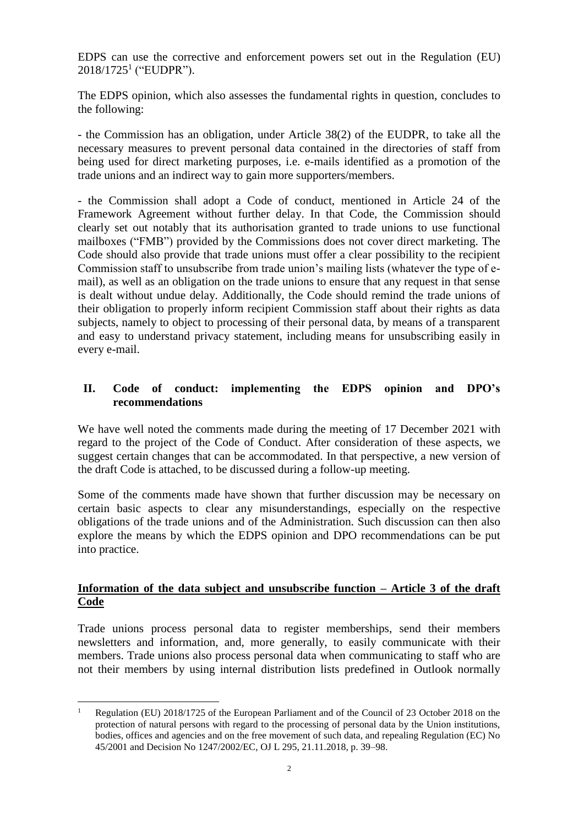EDPS can use the corrective and enforcement powers set out in the Regulation (EU) 2018/1725<sup>1</sup> ("EUDPR").

The EDPS opinion, which also assesses the fundamental rights in question, concludes to the following:

- the Commission has an obligation, under Article 38(2) of the EUDPR, to take all the necessary measures to prevent personal data contained in the directories of staff from being used for direct marketing purposes, i.e. e-mails identified as a promotion of the trade unions and an indirect way to gain more supporters/members.

- the Commission shall adopt a Code of conduct, mentioned in Article 24 of the Framework Agreement without further delay. In that Code, the Commission should clearly set out notably that its authorisation granted to trade unions to use functional mailboxes ("FMB") provided by the Commissions does not cover direct marketing. The Code should also provide that trade unions must offer a clear possibility to the recipient Commission staff to unsubscribe from trade union's mailing lists (whatever the type of email), as well as an obligation on the trade unions to ensure that any request in that sense is dealt without undue delay. Additionally, the Code should remind the trade unions of their obligation to properly inform recipient Commission staff about their rights as data subjects, namely to object to processing of their personal data, by means of a transparent and easy to understand privacy statement, including means for unsubscribing easily in every e-mail.

# **II. Code of conduct: implementing the EDPS opinion and DPO's recommendations**

We have well noted the comments made during the meeting of 17 December 2021 with regard to the project of the Code of Conduct. After consideration of these aspects, we suggest certain changes that can be accommodated. In that perspective, a new version of the draft Code is attached, to be discussed during a follow-up meeting.

Some of the comments made have shown that further discussion may be necessary on certain basic aspects to clear any misunderstandings, especially on the respective obligations of the trade unions and of the Administration. Such discussion can then also explore the means by which the EDPS opinion and DPO recommendations can be put into practice.

# **Information of the data subject and unsubscribe function – Article 3 of the draft Code**

Trade unions process personal data to register memberships, send their members newsletters and information, and, more generally, to easily communicate with their members. Trade unions also process personal data when communicating to staff who are not their members by using internal distribution lists predefined in Outlook normally

 $\overline{a}$ 

Regulation (EU) 2018/1725 of the European Parliament and of the Council of 23 October 2018 on the protection of natural persons with regard to the processing of personal data by the Union institutions, bodies, offices and agencies and on the free movement of such data, and repealing Regulation (EC) No 45/2001 and Decision No 1247/2002/EC, OJ L 295, 21.11.2018, p. 39–98.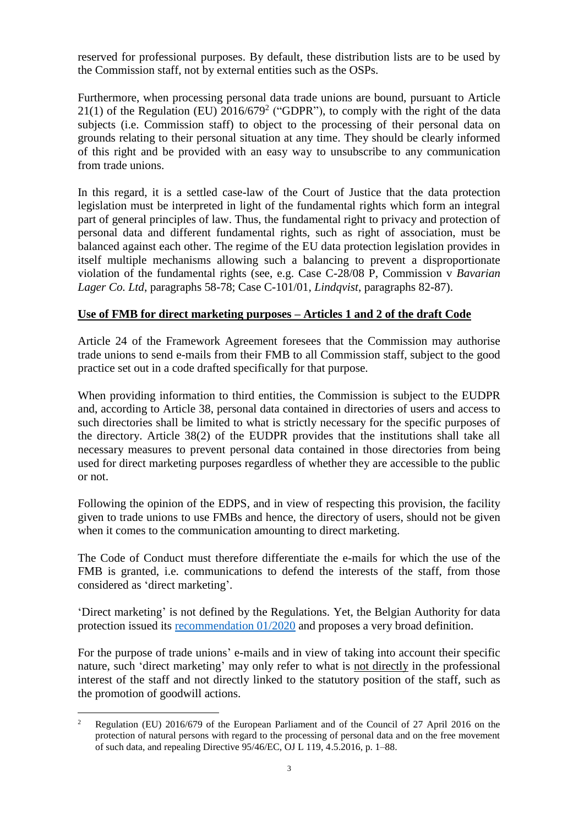reserved for professional purposes. By default, these distribution lists are to be used by the Commission staff, not by external entities such as the OSPs.

Furthermore, when processing personal data trade unions are bound, pursuant to Article  $21(1)$  of the Regulation (EU)  $2016/679<sup>2</sup>$  ("GDPR"), to comply with the right of the data subjects (i.e. Commission staff) to object to the processing of their personal data on grounds relating to their personal situation at any time. They should be clearly informed of this right and be provided with an easy way to unsubscribe to any communication from trade unions.

In this regard, it is a settled case-law of the Court of Justice that the data protection legislation must be interpreted in light of the fundamental rights which form an integral part of general principles of law. Thus, the fundamental right to privacy and protection of personal data and different fundamental rights, such as right of association, must be balanced against each other. The regime of the EU data protection legislation provides in itself multiple mechanisms allowing such a balancing to prevent a disproportionate violation of the fundamental rights (see, e.g. Case C-28/08 P, Commission v *Bavarian Lager Co. Ltd*, paragraphs 58-78; Case C-101/01, *Lindqvist*, paragraphs 82-87).

#### **Use of FMB for direct marketing purposes – Articles 1 and 2 of the draft Code**

Article 24 of the Framework Agreement foresees that the Commission may authorise trade unions to send e-mails from their FMB to all Commission staff, subject to the good practice set out in a code drafted specifically for that purpose.

When providing information to third entities, the Commission is subject to the EUDPR and, according to Article 38, personal data contained in directories of users and access to such directories shall be limited to what is strictly necessary for the specific purposes of the directory. Article 38(2) of the EUDPR provides that the institutions shall take all necessary measures to prevent personal data contained in those directories from being used for direct marketing purposes regardless of whether they are accessible to the public or not.

Following the opinion of the EDPS, and in view of respecting this provision, the facility given to trade unions to use FMBs and hence, the directory of users, should not be given when it comes to the communication amounting to direct marketing.

The Code of Conduct must therefore differentiate the e-mails for which the use of the FMB is granted, i.e. communications to defend the interests of the staff, from those considered as 'direct marketing'.

'Direct marketing' is not defined by the Regulations. Yet, the Belgian Authority for data protection issued its [recommendation 01/2020](https://www.gegevensbeschermingsautoriteit.be/professionnel/themes/marketing-direct/que-vise-t-on-par-marketing-direct-) and proposes a very broad definition.

For the purpose of trade unions' e-mails and in view of taking into account their specific nature, such 'direct marketing' may only refer to what is not directly in the professional interest of the staff and not directly linked to the statutory position of the staff, such as the promotion of goodwill actions.

 $\overline{a}$ <sup>2</sup> Regulation (EU) 2016/679 of the European Parliament and of the Council of 27 April 2016 on the protection of natural persons with regard to the processing of personal data and on the free movement of such data, and repealing Directive 95/46/EC, OJ L 119, 4.5.2016, p. 1–88.